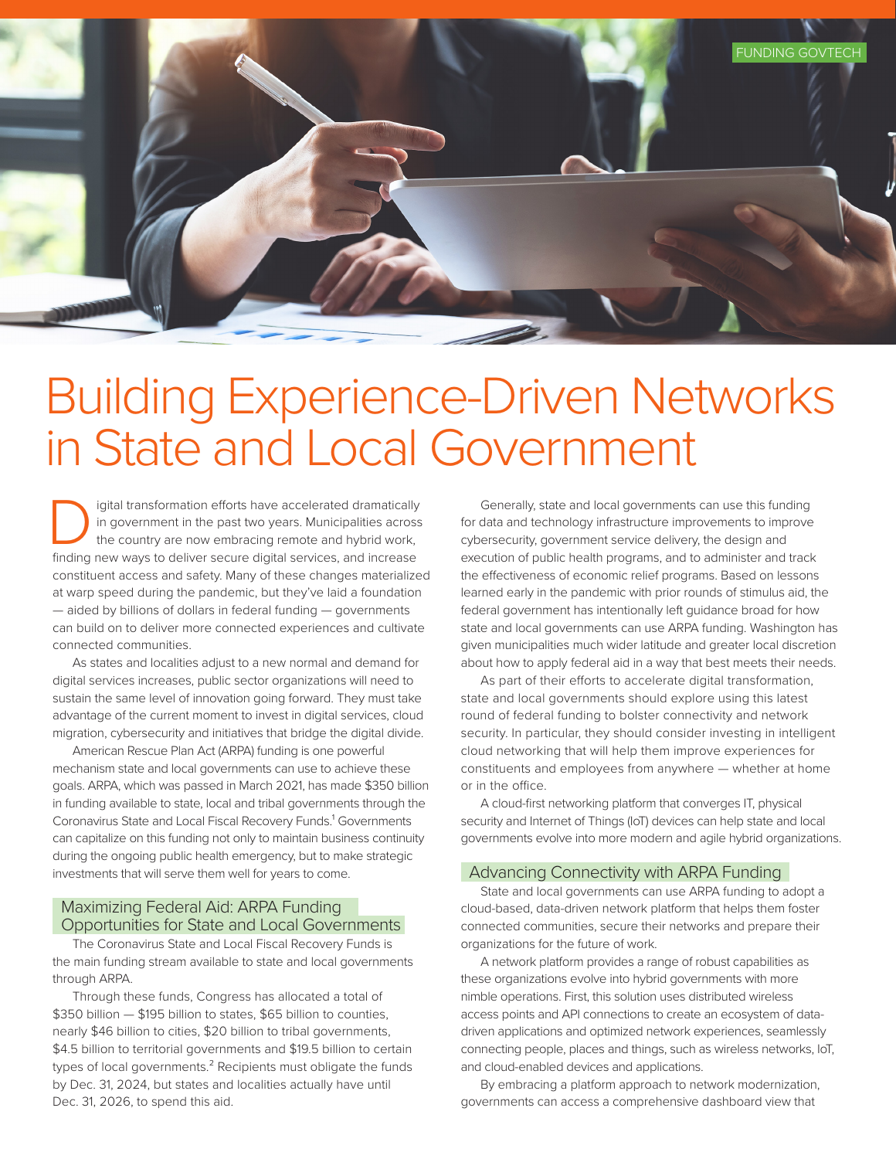

# Building Experience-Driven Networks in State and Local Government

I igital transformation efforts have accelerated dramatically<br>in government in the past two years. Municipalities across<br>the country are now embracing remote and hybrid work,<br>finding new ways to deliver secure digital serv in government in the past two years. Municipalities across the country are now embracing remote and hybrid work, finding new ways to deliver secure digital services, and increase constituent access and safety. Many of these changes materialized at warp speed during the pandemic, but they've laid a foundation — aided by billions of dollars in federal funding — governments can build on to deliver more connected experiences and cultivate connected communities.

As states and localities adjust to a new normal and demand for digital services increases, public sector organizations will need to sustain the same level of innovation going forward. They must take advantage of the current moment to invest in digital services, cloud migration, cybersecurity and initiatives that bridge the digital divide.

American Rescue Plan Act (ARPA) funding is one powerful mechanism state and local governments can use to achieve these goals. ARPA, which was passed in March 2021, has made \$350 billion in funding available to state, local and tribal governments through the Coronavirus State and Local Fiscal Recovery Funds.<sup>1</sup> Governments can capitalize on this funding not only to maintain business continuity during the ongoing public health emergency, but to make strategic investments that will serve them well for years to come.

# Maximizing Federal Aid: ARPA Funding Opportunities for State and Local Governments

The Coronavirus State and Local Fiscal Recovery Funds is the main funding stream available to state and local governments through ARPA.

Through these funds, Congress has allocated a total of \$350 billion — \$195 billion to states, \$65 billion to counties, nearly \$46 billion to cities, \$20 billion to tribal governments, \$4.5 billion to territorial governments and \$19.5 billion to certain types of local governments.<sup>2</sup> Recipients must obligate the funds by Dec. 31, 2024, but states and localities actually have until Dec. 31, 2026, to spend this aid.

Generally, state and local governments can use this funding for data and technology infrastructure improvements to improve cybersecurity, government service delivery, the design and execution of public health programs, and to administer and track the effectiveness of economic relief programs. Based on lessons learned early in the pandemic with prior rounds of stimulus aid, the federal government has intentionally left guidance broad for how state and local governments can use ARPA funding. Washington has given municipalities much wider latitude and greater local discretion about how to apply federal aid in a way that best meets their needs.

As part of their efforts to accelerate digital transformation, state and local governments should explore using this latest round of federal funding to bolster connectivity and network security. In particular, they should consider investing in intelligent cloud networking that will help them improve experiences for constituents and employees from anywhere — whether at home or in the office.

A cloud-first networking platform that converges IT, physical security and Internet of Things (IoT) devices can help state and local governments evolve into more modern and agile hybrid organizations.

#### Advancing Connectivity with ARPA Funding

State and local governments can use ARPA funding to adopt a cloud-based, data-driven network platform that helps them foster connected communities, secure their networks and prepare their organizations for the future of work.

A network platform provides a range of robust capabilities as these organizations evolve into hybrid governments with more nimble operations. First, this solution uses distributed wireless access points and API connections to create an ecosystem of datadriven applications and optimized network experiences, seamlessly connecting people, places and things, such as wireless networks, IoT, and cloud-enabled devices and applications.

By embracing a platform approach to network modernization, governments can access a comprehensive dashboard view that